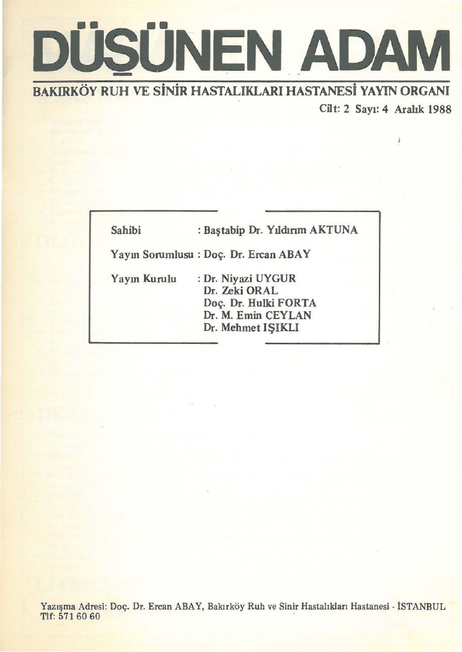# **DÜSÜNEN ADAM**

BAKIRKOY·RUH VE SiNiR HASTALIKLARI HASTANESi YAYIN ORGANI Cilt: 2 Say1: 4 Arabk 1988

| Sahibi       | : Baştabip Dr. Yıldırım AKTUNA                                                                         |
|--------------|--------------------------------------------------------------------------------------------------------|
|              | Yayın Sorumlusu: Doç. Dr. Ercan ABAY                                                                   |
| Yayın Kurulu | : Dr. Niyazi UYGUR<br>Dr. Zeki ORAL<br>Doç. Dr. Hulki FORTA<br>Dr. M. Emin CEYLAN<br>Dr. Mehmet ISIKLI |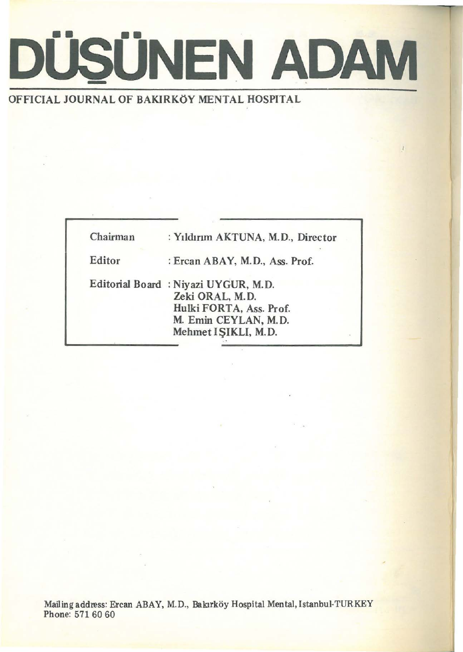

#### OFFICIAL JOURNAL OF BAKIRKOY MENTAL HOSPITAL

| Chairman | : Yıldırım AKTUNA, M.D., Director                                                                                                |  |
|----------|----------------------------------------------------------------------------------------------------------------------------------|--|
| Editor   | : Ercan ABAY, M.D., Ass. Prof.                                                                                                   |  |
|          | Editorial Board: Niyazi UYGUR, M.D.<br>Zeki ORAL, M.D.<br>Hulki FORTA, Ass. Prof.<br>M. Emin CEYLAN, M.D.<br>Mehmet IŞIKLI, M.D. |  |
|          |                                                                                                                                  |  |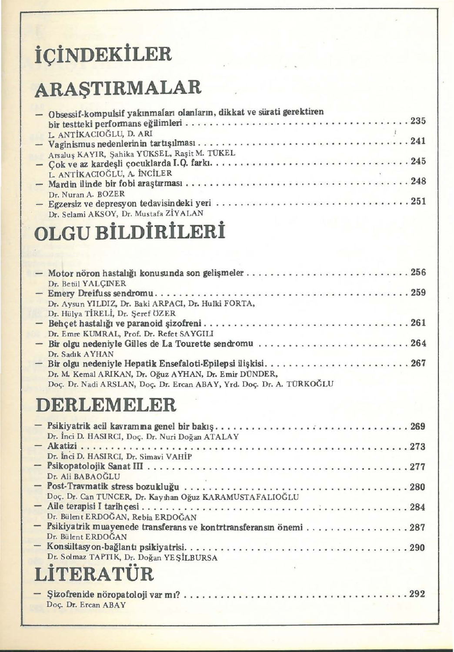## **ic;iNDEKiLER**

### **ARASTIRMALAR**

| - Obsessif-kompulsif yakınmaları olanların, dikkat ve sürati gerektiren |
|-------------------------------------------------------------------------|
|                                                                         |
| Arsaluş KAYIR, Şahika YÜKSEL, Raşit M. TÜKEL                            |
|                                                                         |
| L. ANTİKACIOĞLU, A. İNCİLER                                             |
|                                                                         |
| Dr. Nuran A. BOZER<br>Dr. Selami AKSOY, Dr. Mustafa ZİYALAN             |

#### **OLGU BiLDiRiLERi**

| Dr. Betül YALÇINER                                                   |
|----------------------------------------------------------------------|
|                                                                      |
| Dr. Aysun YILDIZ, Dr. Baki ARPACI, Dr. Hulki FORTA,                  |
| Dr. Hülya TİRELİ, Dr. Şeref ÖZER                                     |
|                                                                      |
| Dr. Emre KUMRAL, Prof. Dr. Refet SAYGILI                             |
| - Bir olgu nedeniyle Gilles de La Tourette sendromu 264              |
| Dr. Sadık AYHAN                                                      |
| - Bir olgu nedeniyle Hepatik Ensefaloti-Epilepsi ilişkisi267         |
| Dr. M. Kemal ARIKAN, Dr. Oğuz AYHAN, Dr. Emir DÜNDER,                |
| Doç. Dr. Nadi ARSLAN, Doç. Dr. Ercan ABAY, Yrd. Doç. Dr. A. TÜRKOĞLU |

#### **DERLEMELER**

| Dr. İnci D. HASIRCI, Doç. Dr. Nuri Doğan ATALAY                                                         |
|---------------------------------------------------------------------------------------------------------|
| Dr. İnci D. HASIRCI, Dr. Simavi VAHİP                                                                   |
| Dr. Ali BABAOĞLU                                                                                        |
|                                                                                                         |
| Doç. Dr. Can TUNCER, Dr. Kayıhan Oğuz KARAMUSTAFALIOĞLU                                                 |
| Dr. Bülent ERDOĞAN, Rebia ERDOĞAN<br>- Psikiyatrik muayenede transferans ve kontrtransferansm önemi 287 |
| Dr. Bülent ERDOĞAN                                                                                      |
| Dr. Solmaz TAPTIK, Dr. Doğan YEŞİLBURSA<br>I ITERATIE                                                   |
|                                                                                                         |

#### **LiTERATUR**

| $-$ Sizofrenide nöropatoloji var m $? \ldots \ldots \ldots \ldots \ldots \ldots \ldots \ldots \ldots \ldots \ldots \ldots 292$<br>Doc. Dr. Ercan ABAY |  |  |
|-------------------------------------------------------------------------------------------------------------------------------------------------------|--|--|
|-------------------------------------------------------------------------------------------------------------------------------------------------------|--|--|